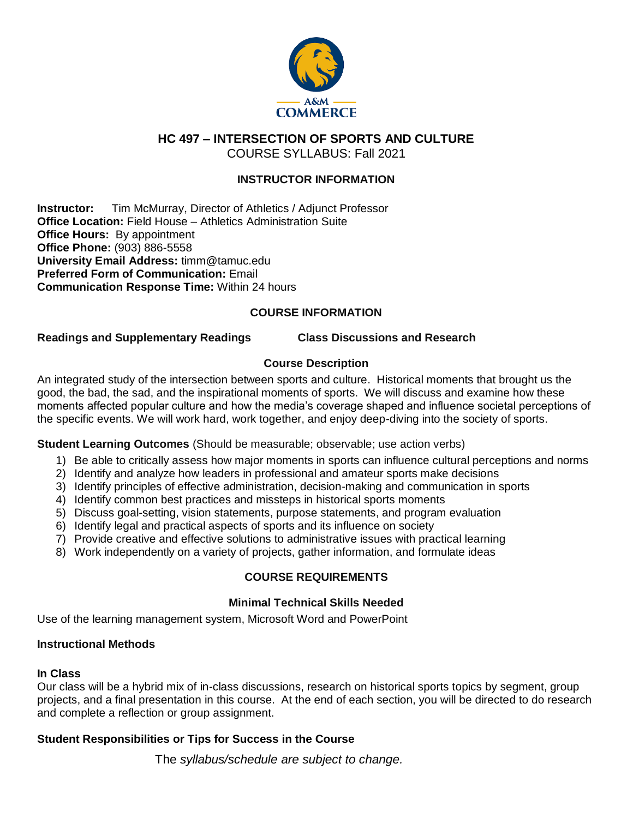

**HC 497 – INTERSECTION OF SPORTS AND CULTURE**

COURSE SYLLABUS: Fall 2021

# **INSTRUCTOR INFORMATION**

**Instructor:** Tim McMurray, Director of Athletics / Adjunct Professor **Office Location:** Field House – Athletics Administration Suite **Office Hours: By appointment Office Phone:** (903) 886-5558 **University Email Address:** timm@tamuc.edu **Preferred Form of Communication:** Email **Communication Response Time:** Within 24 hours

# **COURSE INFORMATION**

### **Readings and Supplementary Readings Class Discussions and Research**

# **Course Description**

An integrated study of the intersection between sports and culture. Historical moments that brought us the good, the bad, the sad, and the inspirational moments of sports. We will discuss and examine how these moments affected popular culture and how the media's coverage shaped and influence societal perceptions of the specific events. We will work hard, work together, and enjoy deep-diving into the society of sports.

### **Student Learning Outcomes** (Should be measurable; observable; use action verbs)

- 1) Be able to critically assess how major moments in sports can influence cultural perceptions and norms
- 2) Identify and analyze how leaders in professional and amateur sports make decisions
- 3) Identify principles of effective administration, decision-making and communication in sports
- 4) Identify common best practices and missteps in historical sports moments
- 5) Discuss goal-setting, vision statements, purpose statements, and program evaluation
- 6) Identify legal and practical aspects of sports and its influence on society
- 7) Provide creative and effective solutions to administrative issues with practical learning
- 8) Work independently on a variety of projects, gather information, and formulate ideas

### **COURSE REQUIREMENTS**

### **Minimal Technical Skills Needed**

Use of the learning management system, Microsoft Word and PowerPoint

### **Instructional Methods**

### **In Class**

Our class will be a hybrid mix of in-class discussions, research on historical sports topics by segment, group projects, and a final presentation in this course. At the end of each section, you will be directed to do research and complete a reflection or group assignment.

### **Student Responsibilities or Tips for Success in the Course**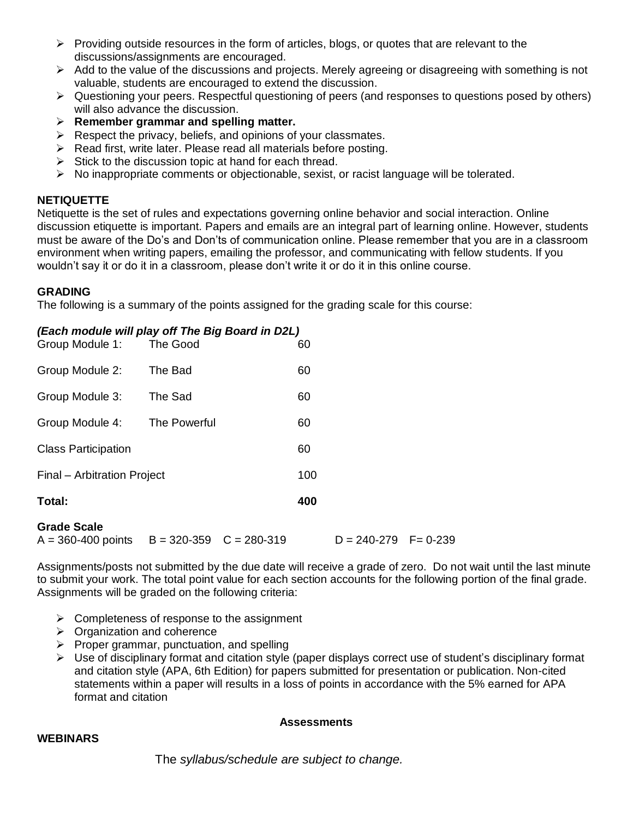- $\triangleright$  Providing outside resources in the form of articles, blogs, or quotes that are relevant to the discussions/assignments are encouraged.
- $\triangleright$  Add to the value of the discussions and projects. Merely agreeing or disagreeing with something is not valuable, students are encouraged to extend the discussion.
- $\triangleright$  Questioning your peers. Respectful questioning of peers (and responses to questions posed by others) will also advance the discussion.
- **Remember grammar and spelling matter.**
- $\triangleright$  Respect the privacy, beliefs, and opinions of your classmates.
- $\triangleright$  Read first, write later. Please read all materials before posting.
- $\triangleright$  Stick to the discussion topic at hand for each thread.
- $\triangleright$  No inappropriate comments or objectionable, sexist, or racist language will be tolerated.

### **NETIQUETTE**

Netiquette is the set of rules and expectations governing online behavior and social interaction. Online discussion etiquette is important. Papers and emails are an integral part of learning online. However, students must be aware of the Do's and Don'ts of communication online. Please remember that you are in a classroom environment when writing papers, emailing the professor, and communicating with fellow students. If you wouldn't say it or do it in a classroom, please don't write it or do it in this online course.

### **GRADING**

The following is a summary of the points assigned for the grading scale for this course:

### *(Each module will play off The Big Board in D2L)*

| <b>Grade Scale</b>          | ann arn an   | nnn nen |     | n. | <u>____________</u> | - | n nh |
|-----------------------------|--------------|---------|-----|----|---------------------|---|------|
| Total:                      |              |         | 400 |    |                     |   |      |
| Final – Arbitration Project |              | 100     |     |    |                     |   |      |
| <b>Class Participation</b>  |              |         | 60  |    |                     |   |      |
| Group Module 4:             | The Powerful |         | 60  |    |                     |   |      |
| Group Module 3:             | The Sad      |         | 60  |    |                     |   |      |
| Group Module 2:             | The Bad      |         | 60  |    |                     |   |      |
| Group Module 1:             | The Good     |         | 60  |    |                     |   |      |

### **Grade Scale**

 $A = 360-400$  points  $B = 320-359$   $C = 280-319$   $D = 240-279$   $F = 0-239$ 

Assignments/posts not submitted by the due date will receive a grade of zero. Do not wait until the last minute to submit your work. The total point value for each section accounts for the following portion of the final grade. Assignments will be graded on the following criteria:

- $\triangleright$  Completeness of response to the assignment
- $\triangleright$  Organization and coherence
- $\triangleright$  Proper grammar, punctuation, and spelling
- $\triangleright$  Use of disciplinary format and citation style (paper displays correct use of student's disciplinary format and citation style (APA, 6th Edition) for papers submitted for presentation or publication. Non-cited statements within a paper will results in a loss of points in accordance with the 5% earned for APA format and citation

### **Assessments**

### **WEBINARS**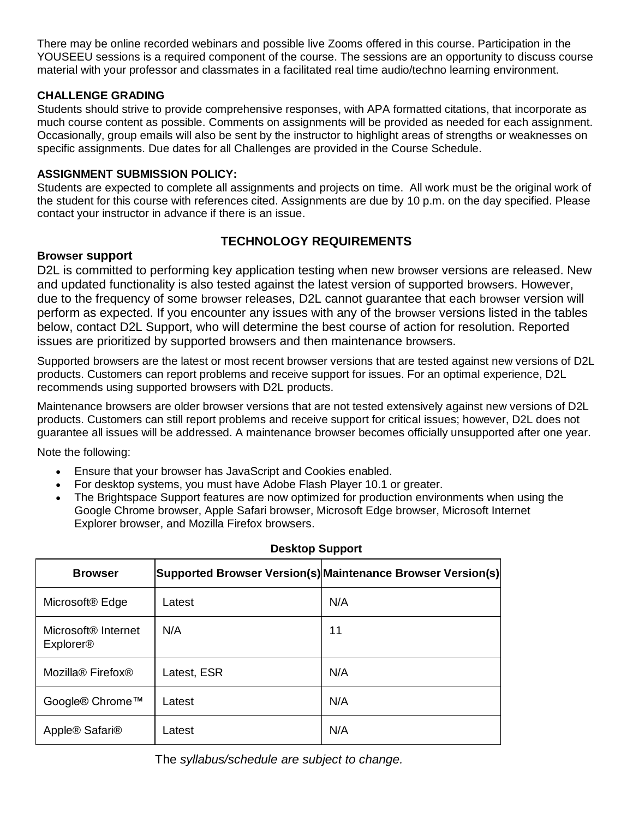There may be online recorded webinars and possible live Zooms offered in this course. Participation in the YOUSEEU sessions is a required component of the course. The sessions are an opportunity to discuss course material with your professor and classmates in a facilitated real time audio/techno learning environment.

# **CHALLENGE GRADING**

Students should strive to provide comprehensive responses, with APA formatted citations, that incorporate as much course content as possible. Comments on assignments will be provided as needed for each assignment. Occasionally, group emails will also be sent by the instructor to highlight areas of strengths or weaknesses on specific assignments. Due dates for all Challenges are provided in the Course Schedule.

## **ASSIGNMENT SUBMISSION POLICY:**

Students are expected to complete all assignments and projects on time. All work must be the original work of the student for this course with references cited. Assignments are due by 10 p.m. on the day specified. Please contact your instructor in advance if there is an issue.

# **TECHNOLOGY REQUIREMENTS**

### **Browser support**

D2L is committed to performing key application testing when new browser versions are released. New and updated functionality is also tested against the latest version of supported browsers. However, due to the frequency of some browser releases, D2L cannot guarantee that each browser version will perform as expected. If you encounter any issues with any of the browser versions listed in the tables below, contact D2L Support, who will determine the best course of action for resolution. Reported issues are prioritized by supported browsers and then maintenance browsers.

Supported browsers are the latest or most recent browser versions that are tested against new versions of D2L products. Customers can report problems and receive support for issues. For an optimal experience, D2L recommends using supported browsers with D2L products.

Maintenance browsers are older browser versions that are not tested extensively against new versions of D2L products. Customers can still report problems and receive support for critical issues; however, D2L does not guarantee all issues will be addressed. A maintenance browser becomes officially unsupported after one year.

Note the following:

- Ensure that your browser has JavaScript and Cookies enabled.
- For desktop systems, you must have Adobe Flash Player 10.1 or greater.
- The Brightspace Support features are now optimized for production environments when using the Google Chrome browser, Apple Safari browser, Microsoft Edge browser, Microsoft Internet Explorer browser, and Mozilla Firefox browsers.

| <b>Browser</b>                                                 |             | Supported Browser Version(s) Maintenance Browser Version(s) |
|----------------------------------------------------------------|-------------|-------------------------------------------------------------|
| Microsoft <sup>®</sup> Edge                                    | Latest      | N/A                                                         |
| Microsoft <sup>®</sup> Internet<br><b>Explorer<sup>®</sup></b> | N/A         | 11                                                          |
| Mozilla <sup>®</sup> Firefox <sup>®</sup>                      | Latest, ESR | N/A                                                         |
| Google® Chrome™                                                | Latest      | N/A                                                         |
| Apple® Safari®                                                 | Latest      | N/A                                                         |

# **Desktop Support**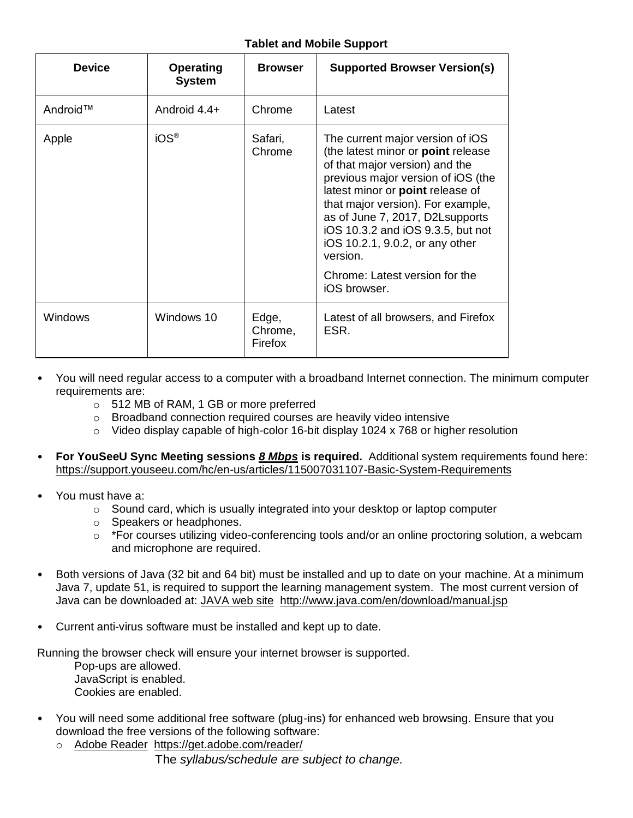# **Tablet and Mobile Support**

| <b>Device</b> | <b>Operating</b><br><b>System</b> | <b>Browser</b>              | <b>Supported Browser Version(s)</b>                                                                                                                                                                                                                                                                                                                                                              |
|---------------|-----------------------------------|-----------------------------|--------------------------------------------------------------------------------------------------------------------------------------------------------------------------------------------------------------------------------------------------------------------------------------------------------------------------------------------------------------------------------------------------|
| Android™      | Android $4.4+$                    | Chrome                      | Latest                                                                                                                                                                                                                                                                                                                                                                                           |
| Apple         | iOS <sup>®</sup>                  | Safari,<br>Chrome           | The current major version of iOS<br>(the latest minor or point release<br>of that major version) and the<br>previous major version of iOS (the<br>latest minor or point release of<br>that major version). For example,<br>as of June 7, 2017, D2Lsupports<br>iOS 10.3.2 and iOS 9.3.5, but not<br>iOS 10.2.1, 9.0.2, or any other<br>version.<br>Chrome: Latest version for the<br>iOS browser. |
| Windows       | Windows 10                        | Edge,<br>Chrome,<br>Firefox | Latest of all browsers, and Firefox<br>ESR.                                                                                                                                                                                                                                                                                                                                                      |

- You will need regular access to a computer with a broadband Internet connection. The minimum computer requirements are:
	- o 512 MB of RAM, 1 GB or more preferred
	- o Broadband connection required courses are heavily video intensive
	- o Video display capable of high-color 16-bit display 1024 x 768 or higher resolution
- **For YouSeeU Sync Meeting sessions** *8 Mbps* **is required.** Additional system requirements found here: <https://support.youseeu.com/hc/en-us/articles/115007031107-Basic-System-Requirements>
- You must have a:
	- $\circ$  Sound card, which is usually integrated into your desktop or laptop computer
	- o Speakers or headphones.
	- $\circ$  \*For courses utilizing video-conferencing tools and/or an online proctoring solution, a webcam and microphone are required.
- Both versions of Java (32 bit and 64 bit) must be installed and up to date on your machine. At a minimum Java 7, update 51, is required to support the learning management system. The most current version of Java can be downloaded at: [JAVA web site http://www.java.com/en/download/manual.jsp](http://www.java.com/en/download/manual.jsp)
- Current anti-virus software must be installed and kept up to date.

Running the browser check will ensure your internet browser is supported.

- Pop-ups are allowed. JavaScript is enabled. Cookies are enabled.
- You will need some additional free software (plug-ins) for enhanced web browsing. Ensure that you download the free versions of the following software:
	- o [Adobe Reader https://get.adobe.com/reader/](https://get.adobe.com/reader/)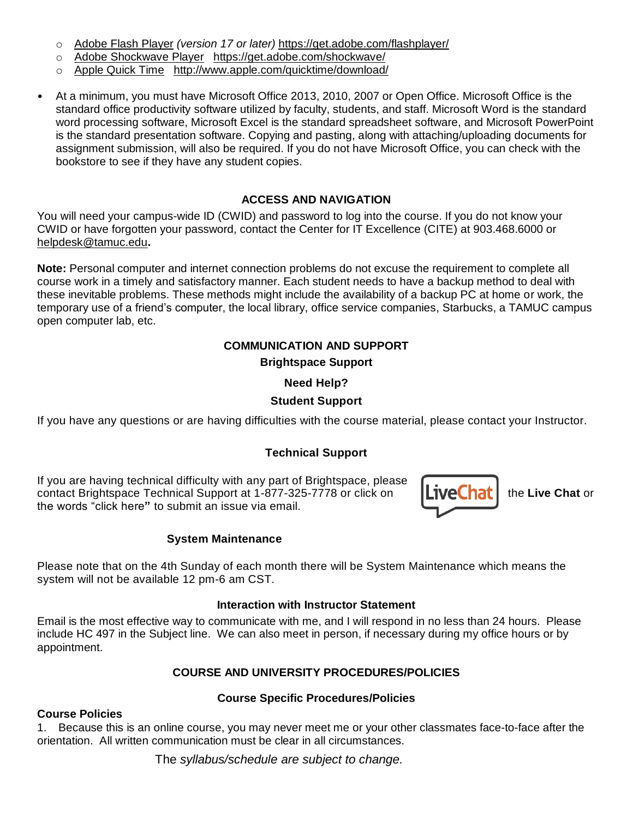- o [Adobe Flash Player](https://get.adobe.com/flashplayer/) *(version 17 or later)* <https://get.adobe.com/flashplayer/>
- o [Adobe Shockwave Player https://get.adobe.com/shockwave/](https://get.adobe.com/shockwave/)
- o [Apple Quick Time http://www.apple.com/quicktime/download/](http://www.apple.com/quicktime/download/)
- At a minimum, you must have Microsoft Office 2013, 2010, 2007 or Open Office. Microsoft Office is the standard office productivity software utilized by faculty, students, and staff. Microsoft Word is the standard word processing software, Microsoft Excel is the standard spreadsheet software, and Microsoft PowerPoint is the standard presentation software. Copying and pasting, along with attaching/uploading documents for assignment submission, will also be required. If you do not have Microsoft Office, you can check with the bookstore to see if they have any student copies.

# **ACCESS AND NAVIGATION**

You will need your campus-wide ID (CWID) and password to log into the course. If you do not know your CWID or have forgotten your password, contact the Center for IT Excellence (CITE) at 903.468.6000 or [helpdesk@tamuc.edu](mailto:helpdesk@tamuc.edu)**.**

**Note:** Personal computer and internet connection problems do not excuse the requirement to complete all course work in a timely and satisfactory manner. Each student needs to have a backup method to deal with these inevitable problems. These methods might include the availability of a backup PC at home or work, the temporary use of a friend's computer, the local library, office service companies, Starbucks, a TAMUC campus open computer lab, etc.

# **COMMUNICATION AND SUPPORT Brightspace Support**

# **Need Help?**

# **Student Support**

If you have any questions or are having difficulties with the course material, please contact your Instructor.

# **Technical Support**

If you are having technical difficulty with any part of Brightspace, please contact Brightspace Technical Support at 1-877-325-7778 or click on **Live Chat** is the Live Chat or the words "click here**"** to submit an issue via email.

### **System Maintenance**

Please note that on the 4th Sunday of each month there will be System Maintenance which means the system will not be available 12 pm-6 am CST.

### **Interaction with Instructor Statement**

Email is the most effective way to communicate with me, and I will respond in no less than 24 hours. Please include HC 497 in the Subject line. We can also meet in person, if necessary during my office hours or by appointment.

### **COURSE AND UNIVERSITY PROCEDURES/POLICIES**

### **Course Specific Procedures/Policies**

### **Course Policies**

1. Because this is an online course, you may never meet me or your other classmates face-to-face after the orientation. All written communication must be clear in all circumstances.

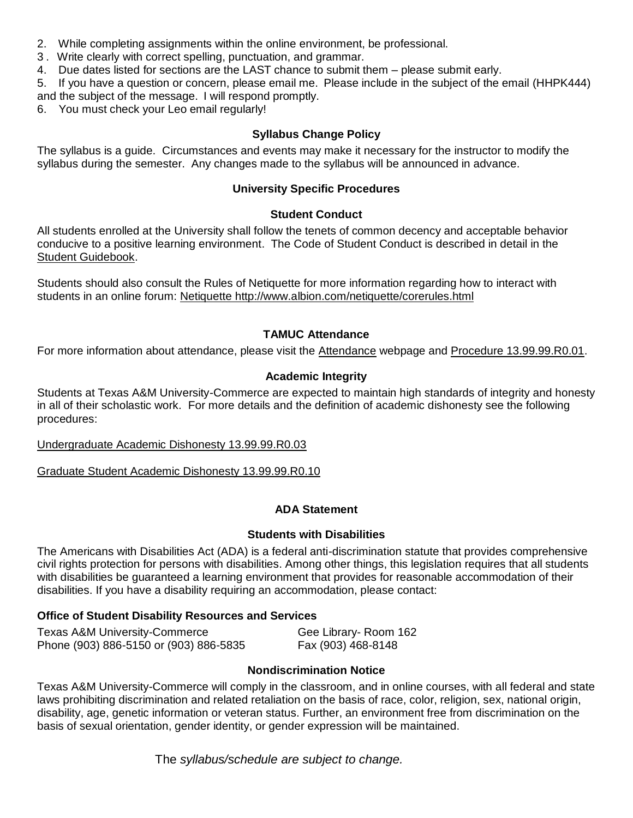- 2. While completing assignments within the online environment, be professional.
- 3 . Write clearly with correct spelling, punctuation, and grammar.
- 4. Due dates listed for sections are the LAST chance to submit them please submit early.

5. If you have a question or concern, please email me. Please include in the subject of the email (HHPK444) and the subject of the message. I will respond promptly.

6. You must check your Leo email regularly!

# **Syllabus Change Policy**

The syllabus is a guide. Circumstances and events may make it necessary for the instructor to modify the syllabus during the semester. Any changes made to the syllabus will be announced in advance.

# **University Specific Procedures**

# **Student Conduct**

All students enrolled at the University shall follow the tenets of common decency and acceptable behavior conducive to a positive learning environment. The Code of Student Conduct is described in detail in the [Student Guidebook.](http://www.tamuc.edu/Admissions/oneStopShop/undergraduateAdmissions/studentGuidebook.aspx)

Students should also consult the Rules of Netiquette for more information regarding how to interact with students in an online forum: [Netiquette](http://www.albion.com/netiquette/corerules.html) <http://www.albion.com/netiquette/corerules.html>

# **TAMUC Attendance**

For more information about attendance, please visit the [Attendance](http://www.tamuc.edu/admissions/registrar/generalInformation/attendance.aspx) webpage and [Procedure 13.99.99.R0.01.](http://www.tamuc.edu/aboutUs/policiesProceduresStandardsStatements/rulesProcedures/13students/academic/13.99.99.R0.01.pdf)

# **Academic Integrity**

Students at Texas A&M University-Commerce are expected to maintain high standards of integrity and honesty in all of their scholastic work. For more details and the definition of academic dishonesty see the following procedures:

### [Undergraduate Academic Dishonesty 13.99.99.R0.03](http://www.tamuc.edu/aboutUs/policiesProceduresStandardsStatements/rulesProcedures/13students/undergraduates/13.99.99.R0.03UndergraduateAcademicDishonesty.pdf)

[Graduate Student Academic Dishonesty 13.99.99.R0.10](http://www.tamuc.edu/aboutUs/policiesProceduresStandardsStatements/rulesProcedures/13students/graduate/13.99.99.R0.10GraduateStudentAcademicDishonesty.pdf)

### **ADA Statement**

### **Students with Disabilities**

The Americans with Disabilities Act (ADA) is a federal anti-discrimination statute that provides comprehensive civil rights protection for persons with disabilities. Among other things, this legislation requires that all students with disabilities be guaranteed a learning environment that provides for reasonable accommodation of their disabilities. If you have a disability requiring an accommodation, please contact:

# **Office of Student Disability Resources and Services**

| Texas A&M University-Commerce          | Gee Library- Room 162 |
|----------------------------------------|-----------------------|
| Phone (903) 886-5150 or (903) 886-5835 | Fax (903) 468-8148    |

# **Nondiscrimination Notice**

Texas A&M University-Commerce will comply in the classroom, and in online courses, with all federal and state laws prohibiting discrimination and related retaliation on the basis of race, color, religion, sex, national origin, disability, age, genetic information or veteran status. Further, an environment free from discrimination on the basis of sexual orientation, gender identity, or gender expression will be maintained.